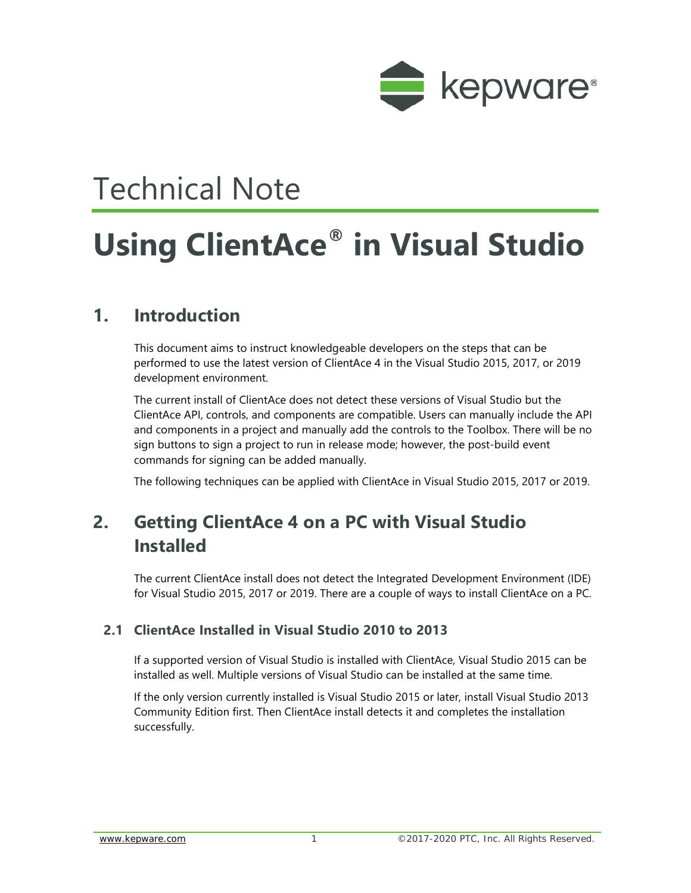

# Technical Note

# **Using ClientAce® in Visual Studio**

### **1. Introduction**

This document aims to instruct knowledgeable developers on the steps that can be performed to use the latest version of ClientAce 4 in the Visual Studio 2015, 2017, or 2019 development environment.

The current install of ClientAce does not detect these versions of Visual Studio but the ClientAce API, controls, and components are compatible. Users can manually include the API and components in a project and manually add the controls to the Toolbox. There will be no sign buttons to sign a project to run in release mode; however, the post-build event commands for signing can be added manually.

The following techniques can be applied with ClientAce in Visual Studio 2015, 2017 or 2019.

## **2. Getting ClientAce 4 on a PC with Visual Studio Installed**

The current ClientAce install does not detect the Integrated Development Environment (IDE) for Visual Studio 2015, 2017 or 2019. There are a couple of ways to install ClientAce on a PC.

#### **2.1 ClientAce Installed in Visual Studio 2010 to 2013**

If a supported version of Visual Studio is installed with ClientAce, Visual Studio 2015 can be installed as well. Multiple versions of Visual Studio can be installed at the same time.

If the only version currently installed is Visual Studio 2015 or later, install Visual Studio 2013 Community Edition first. Then ClientAce install detects it and completes the installation successfully.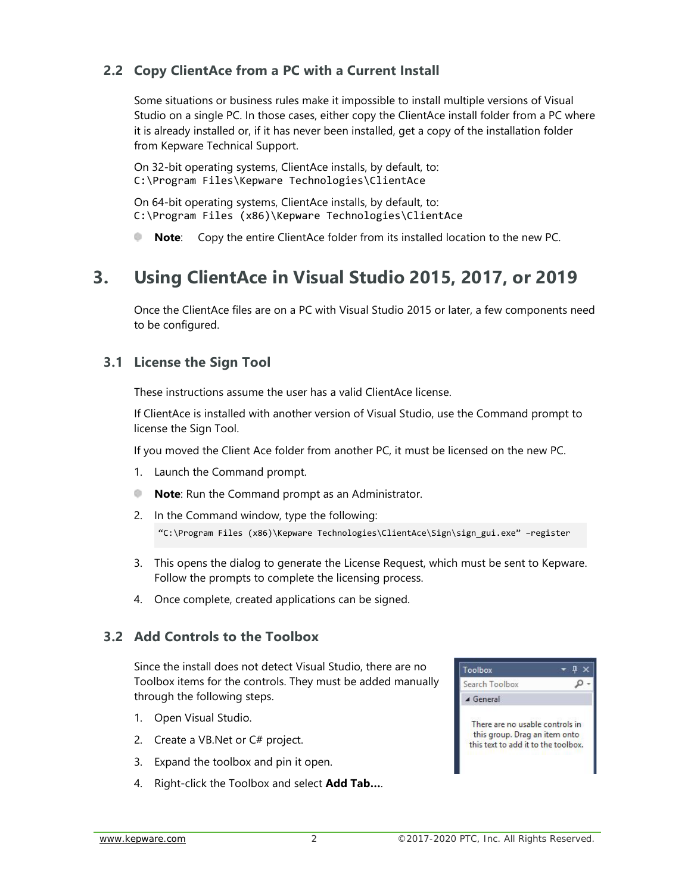#### **2.2 Copy ClientAce from a PC with a Current Install**

Some situations or business rules make it impossible to install multiple versions of Visual Studio on a single PC. In those cases, either copy the ClientAce install folder from a PC where it is already installed or, if it has never been installed, get a copy of the installation folder from Kepware Technical Support.

On 32-bit operating systems, ClientAce installs, by default, to: C:\Program Files\Kepware Technologies\ClientAce

On 64-bit operating systems, ClientAce installs, by default, to: C:\Program Files (x86)\Kepware Technologies\ClientAce

**Note**: Copy the entire ClientAce folder from its installed location to the new PC.

### **3. Using ClientAce in Visual Studio 2015, 2017, or 2019**

Once the ClientAce files are on a PC with Visual Studio 2015 or later, a few components need to be configured.

#### **3.1 License the Sign Tool**

These instructions assume the user has a valid ClientAce license.

If ClientAce is installed with another version of Visual Studio, use the Command prompt to license the Sign Tool.

If you moved the Client Ace folder from another PC, it must be licensed on the new PC.

- 1. Launch the Command prompt.
- alin **Note**: Run the Command prompt as an Administrator.
- 2. In the Command window, type the following: "C:\Program Files (x86)\Kepware Technologies\ClientAce\Sign\sign\_gui.exe" –register
- 3. This opens the dialog to generate the License Request, which must be sent to Kepware. Follow the prompts to complete the licensing process.
- 4. Once complete, created applications can be signed.

#### **3.2 Add Controls to the Toolbox**

Since the install does not detect Visual Studio, there are no Toolbox items for the controls. They must be added manually through the following steps.

- 1. Open Visual Studio.
- 2. Create a VB.Net or C# project.
- 3. Expand the toolbox and pin it open.
- 4. Right-click the Toolbox and select **Add Tab…**.

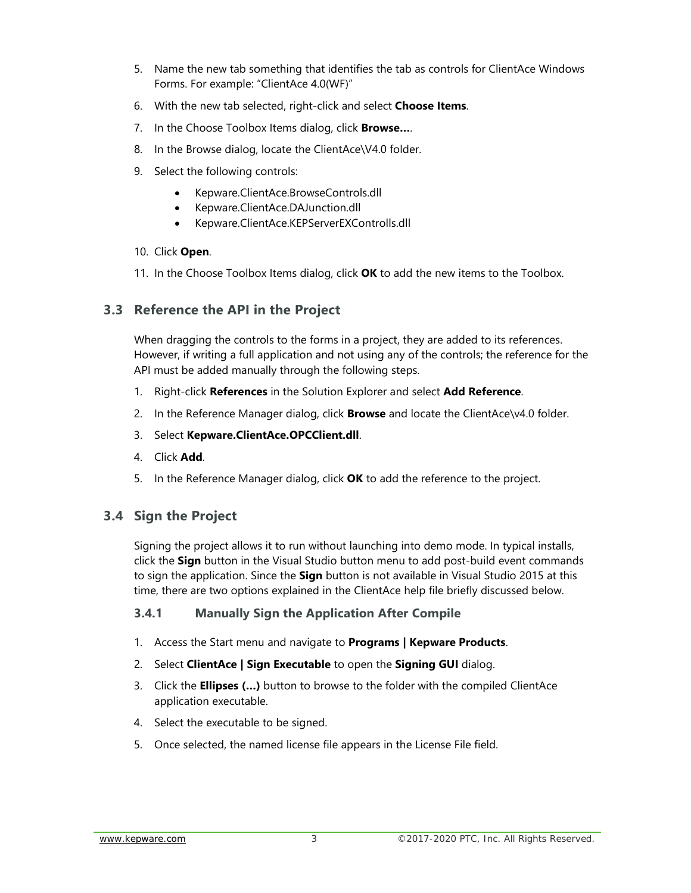- 5. Name the new tab something that identifies the tab as controls for ClientAce Windows Forms. For example: "ClientAce 4.0(WF)"
- 6. With the new tab selected, right-click and select **Choose Items**.
- 7. In the Choose Toolbox Items dialog, click **Browse…**.
- 8. In the Browse dialog, locate the ClientAce\V4.0 folder.
- 9. Select the following controls:
	- Kepware.ClientAce.BrowseControls.dll
	- Kepware.ClientAce.DAJunction.dll
	- Kepware.ClientAce.KEPServerEXControlls.dll
- 10. Click **Open**.
- 11. In the Choose Toolbox Items dialog, click **OK** to add the new items to the Toolbox.

#### **3.3 Reference the API in the Project**

When dragging the controls to the forms in a project, they are added to its references. However, if writing a full application and not using any of the controls; the reference for the API must be added manually through the following steps.

- 1. Right-click **References** in the Solution Explorer and select **Add Reference**.
- 2. In the Reference Manager dialog, click **Browse** and locate the ClientAce\v4.0 folder.
- 3. Select **Kepware.ClientAce.OPCClient.dll**.
- 4. Click **Add**.
- 5. In the Reference Manager dialog, click **OK** to add the reference to the project.

#### **3.4 Sign the Project**

Signing the project allows it to run without launching into demo mode. In typical installs, click the **Sign** button in the Visual Studio button menu to add post-build event commands to sign the application. Since the **Sign** button is not available in Visual Studio 2015 at this time, there are two options explained in the ClientAce help file briefly discussed below.

#### **3.4.1 Manually Sign the Application After Compile**

- 1. Access the Start menu and navigate to **Programs | Kepware Products**.
- 2. Select **ClientAce | Sign Executable** to open the **Signing GUI** dialog.
- 3. Click the **Ellipses (…)** button to browse to the folder with the compiled ClientAce application executable.
- 4. Select the executable to be signed.
- 5. Once selected, the named license file appears in the License File field.